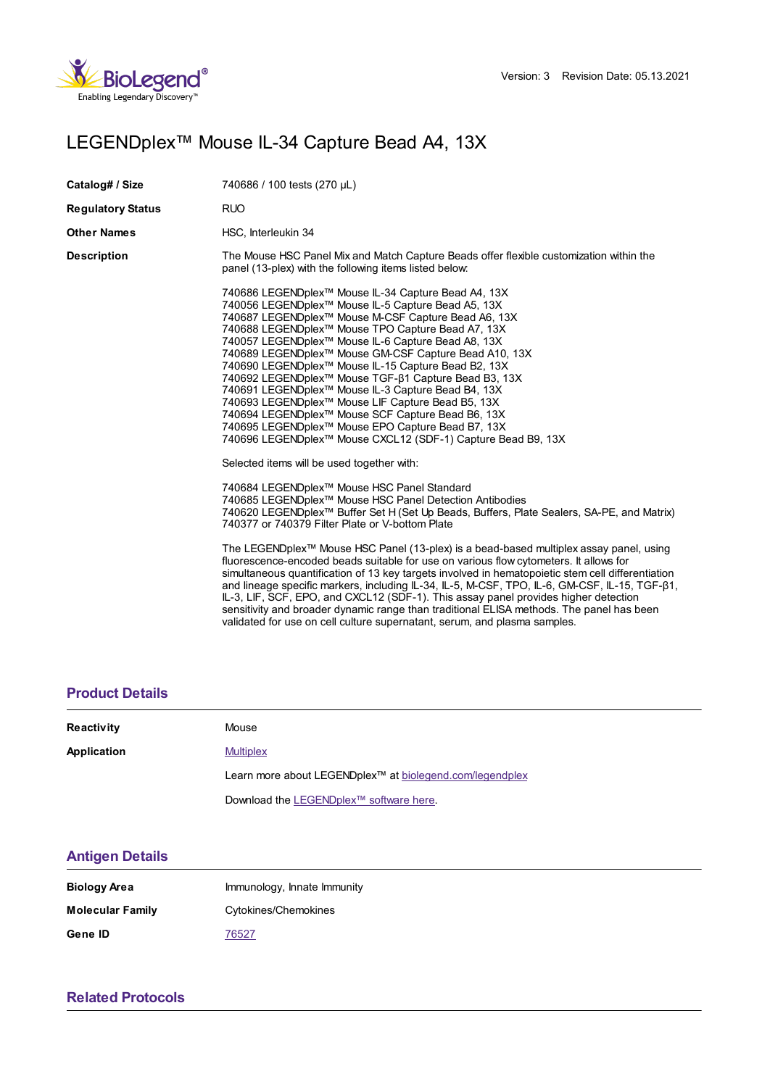

# LEGENDplex™ Mouse IL-34 Capture Bead A4, 13X

| Catalog# / Size          | 740686 / 100 tests (270 µL)                                                                                                                                                                                                                                                                                                                                                                                                                                                                                                                                                                                                                                                                                                                                                  |  |
|--------------------------|------------------------------------------------------------------------------------------------------------------------------------------------------------------------------------------------------------------------------------------------------------------------------------------------------------------------------------------------------------------------------------------------------------------------------------------------------------------------------------------------------------------------------------------------------------------------------------------------------------------------------------------------------------------------------------------------------------------------------------------------------------------------------|--|
| <b>Regulatory Status</b> | <b>RUO</b>                                                                                                                                                                                                                                                                                                                                                                                                                                                                                                                                                                                                                                                                                                                                                                   |  |
| Other Names              | HSC, Interleukin 34                                                                                                                                                                                                                                                                                                                                                                                                                                                                                                                                                                                                                                                                                                                                                          |  |
| Description              | The Mouse HSC Panel Mix and Match Capture Beads offer flexible customization within the<br>panel (13-plex) with the following items listed below:                                                                                                                                                                                                                                                                                                                                                                                                                                                                                                                                                                                                                            |  |
|                          | 740686 LEGENDplex™ Mouse IL-34 Capture Bead A4, 13X<br>740056 LEGENDplex <sup>™</sup> Mouse IL-5 Capture Bead A5, 13X<br>740687 LEGENDplex™ Mouse M-CSF Capture Bead A6, 13X<br>740688 LEGENDplex™ Mouse TPO Capture Bead A7, 13X<br>740057 LEGENDplex <sup>™</sup> Mouse IL-6 Capture Bead A8, 13X<br>740689 LEGENDplex™ Mouse GM-CSF Capture Bead A10, 13X<br>740690 LEGENDplex™ Mouse IL-15 Capture Bead B2, 13X<br>740692 LEGENDplex™ Mouse TGF-β1 Capture Bead B3, 13X<br>740691 LEGENDplex <sup>™</sup> Mouse IL-3 Capture Bead B4, 13X<br>740693 LEGENDplex™ Mouse LIF Capture Bead B5, 13X<br>740694 LEGENDplex™ Mouse SCF Capture Bead B6, 13X<br>740695 LEGENDplex™ Mouse EPO Capture Bead B7, 13X<br>740696 LEGENDplex™ Mouse CXCL12 (SDF-1) Capture Bead B9, 13X |  |
|                          | Selected items will be used together with:                                                                                                                                                                                                                                                                                                                                                                                                                                                                                                                                                                                                                                                                                                                                   |  |
|                          | 740684 LEGENDplex™ Mouse HSC Panel Standard<br>740685 LEGENDplex™ Mouse HSC Panel Detection Antibodies<br>740620 LEGENDplex <sup>™</sup> Buffer Set H (Set Up Beads, Buffers, Plate Sealers, SA-PE, and Matrix)<br>740377 or 740379 Filter Plate or V-bottom Plate                                                                                                                                                                                                                                                                                                                                                                                                                                                                                                           |  |
|                          | The LEGENDplex™ Mouse HSC Panel (13-plex) is a bead-based multiplex assay panel, using<br>fluorescence-encoded beads suitable for use on various flow cytometers. It allows for<br>simultaneous quantification of 13 key targets involved in hematopoietic stem cell differentiation<br>and lineage specific markers, including IL-34, IL-5, M-CSF, TPO, IL-6, GM-CSF, IL-15, TGF-ß1,<br>IL-3, LIF, SCF, EPO, and CXCL12 (SDF-1). This assay panel provides higher detection<br>sensitivity and broader dynamic range than traditional ELISA methods. The panel has been<br>validated for use on cell culture supernatant, serum, and plasma samples.                                                                                                                        |  |

#### **[Product](https://production-dynamicweb.biolegend.com/fr-ch/products/legendplex-mouse-il-34-capture-bead-a4-13x-15206?pdf=true&displayInline=true&leftRightMargin=15&topBottomMargin=15&filename=LEGENDplex%EF%BF%BD%EF%BF%BD%EF%BF%BD Mouse IL-34 Capture Bead A4, 13X.pdf#productDetails) Details**

| Reactivity  | Mouse                                                                |
|-------------|----------------------------------------------------------------------|
| Application | <b>Multiplex</b>                                                     |
|             | Learn more about LEGENDplex <sup>™</sup> at biolegend.com/legendplex |
|             | Download the LEGENDplex <sup>™</sup> software here.                  |

### **[Antigen](https://production-dynamicweb.biolegend.com/fr-ch/products/legendplex-mouse-il-34-capture-bead-a4-13x-15206?pdf=true&displayInline=true&leftRightMargin=15&topBottomMargin=15&filename=LEGENDplex%EF%BF%BD%EF%BF%BD%EF%BF%BD Mouse IL-34 Capture Bead A4, 13X.pdf#antigenDetails) Details**

| <b>Biology Area</b>     | Immunology, Innate Immunity |
|-------------------------|-----------------------------|
| <b>Molecular Family</b> | Cytokines/Chemokines        |
| Gene ID                 | 76527                       |

## **Related [Protocols](https://production-dynamicweb.biolegend.com/fr-ch/products/legendplex-mouse-il-34-capture-bead-a4-13x-15206?pdf=true&displayInline=true&leftRightMargin=15&topBottomMargin=15&filename=LEGENDplex%EF%BF%BD%EF%BF%BD%EF%BF%BD Mouse IL-34 Capture Bead A4, 13X.pdf#productRelatedProtocols)**